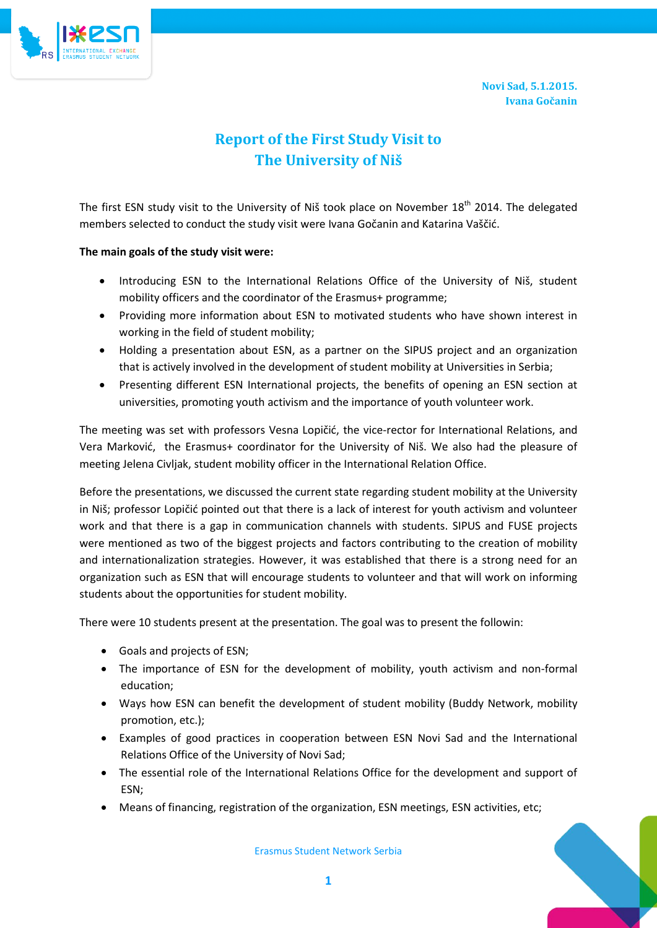**Novi Sad, 5.1.2015. Ivana Gočanin**



## **Report of the First Study Visit to The University of Niš**

The first ESN study visit to the University of Niš took place on November 18<sup>th</sup> 2014. The delegated members selected to conduct the study visit were Ivana Gočanin and Katarina Vaščid.

## **The main goals of the study visit were:**

- Introducing ESN to the International Relations Office of the University of Niš, student mobility officers and the coordinator of the Erasmus+ programme;
- Providing more information about ESN to motivated students who have shown interest in working in the field of student mobility;
- Holding a presentation about ESN, as a partner on the SIPUS project and an organization that is actively involved in the development of student mobility at Universities in Serbia;
- Presenting different ESN International projects, the benefits of opening an ESN section at universities, promoting youth activism and the importance of youth volunteer work.

The meeting was set with professors Vesna Lopičić, the vice-rector for International Relations, and Vera Marković, the Erasmus+ coordinator for the University of Niš. We also had the pleasure of meeting Jelena Civljak, student mobility officer in the International Relation Office.

Before the presentations, we discussed the current state regarding student mobility at the University in Niš; professor Lopičić pointed out that there is a lack of interest for youth activism and volunteer work and that there is a gap in communication channels with students. SIPUS and FUSE projects were mentioned as two of the biggest projects and factors contributing to the creation of mobility and internationalization strategies. However, it was established that there is a strong need for an organization such as ESN that will encourage students to volunteer and that will work on informing students about the opportunities for student mobility.

There were 10 students present at the presentation. The goal was to present the followin:

- Goals and projects of ESN;
- The importance of ESN for the development of mobility, youth activism and non-formal education;
- Ways how ESN can benefit the development of student mobility (Buddy Network, mobility promotion, etc.);
- Examples of good practices in cooperation between ESN Novi Sad and the International Relations Office of the University of Novi Sad;
- The essential role of the International Relations Office for the development and support of ESN;
- Means of financing, registration of the organization, ESN meetings, ESN activities, etc;

Erasmus Student Network Serbia